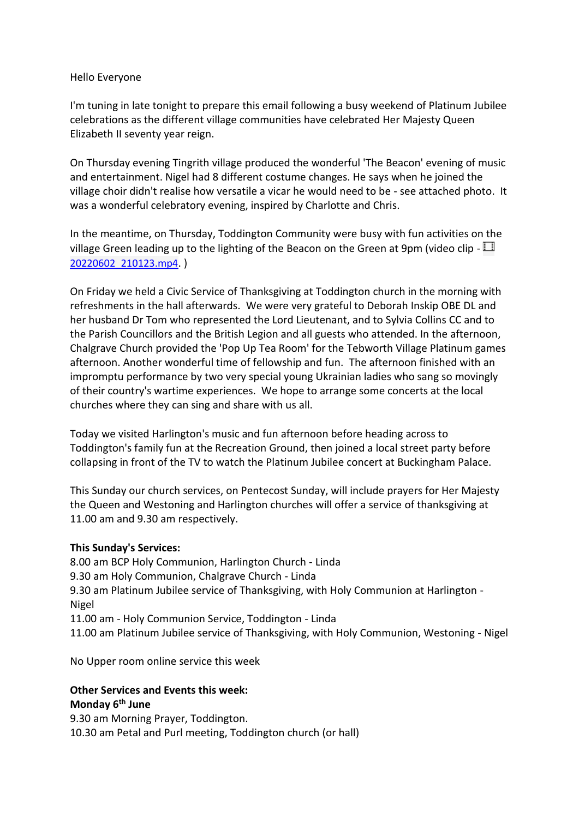## Hello Everyone

I'm tuning in late tonight to prepare this email following a busy weekend of Platinum Jubilee celebrations as the different village communities have celebrated Her Majesty Queen Elizabeth II seventy year reign.

On Thursday evening Tingrith village produced the wonderful 'The Beacon' evening of music and entertainment. Nigel had 8 different costume changes. He says when he joined the village choir didn't realise how versatile a vicar he would need to be - see attached photo. It was a wonderful celebratory evening, inspired by Charlotte and Chris.

In the meantime, on Thursday, Toddington Community were busy with fun activities on the village Green leading up to the lighting of the Beacon on the Green at 9pm (video clip [-](https://1drv.ms/v/s!AtC3m1KLTrlS8QDeGjBk9m3H7rHa) [20220602\\_210123.mp4](https://1drv.ms/v/s!AtC3m1KLTrlS8QDeGjBk9m3H7rHa). )

On Friday we held a Civic Service of Thanksgiving at Toddington church in the morning with refreshments in the hall afterwards. We were very grateful to Deborah Inskip OBE DL and her husband Dr Tom who represented the Lord Lieutenant, and to Sylvia Collins CC and to the Parish Councillors and the British Legion and all guests who attended. In the afternoon, Chalgrave Church provided the 'Pop Up Tea Room' for the Tebworth Village Platinum games afternoon. Another wonderful time of fellowship and fun. The afternoon finished with an impromptu performance by two very special young Ukrainian ladies who sang so movingly of their country's wartime experiences. We hope to arrange some concerts at the local churches where they can sing and share with us all.

Today we visited Harlington's music and fun afternoon before heading across to Toddington's family fun at the Recreation Ground, then joined a local street party before collapsing in front of the TV to watch the Platinum Jubilee concert at Buckingham Palace.

This Sunday our church services, on Pentecost Sunday, will include prayers for Her Majesty the Queen and Westoning and Harlington churches will offer a service of thanksgiving at 11.00 am and 9.30 am respectively.

## **This Sunday's Services:**

8.00 am BCP Holy Communion, Harlington Church - Linda 9.30 am Holy Communion, Chalgrave Church - Linda 9.30 am Platinum Jubilee service of Thanksgiving, with Holy Communion at Harlington - Nigel 11.00 am - Holy Communion Service, Toddington - Linda 11.00 am Platinum Jubilee service of Thanksgiving, with Holy Communion, Westoning - Nigel

No Upper room online service this week

## **Other Services and Events this week: Monday 6th June**

9.30 am Morning Prayer, Toddington. 10.30 am Petal and Purl meeting, Toddington church (or hall)